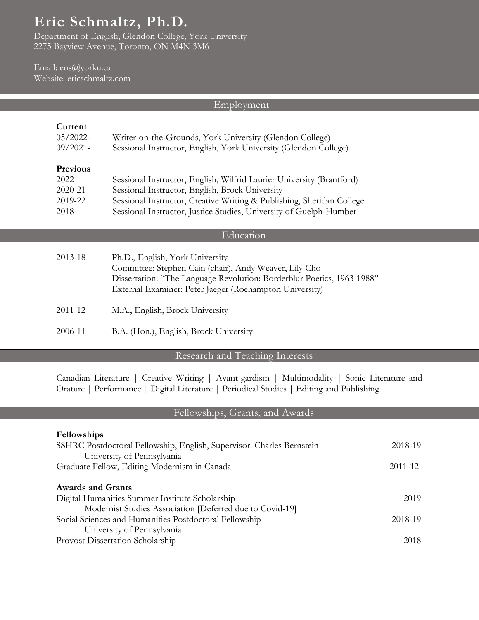# **Eric Schmaltz, Ph.D***.*

Department of English, Glendon College, York University 2275 Bayview Avenue, Toronto, ON M4N 3M6

# Email: ens@yorku.ca Website: ericschmaltz.com

# Employment

# **Current**

| 05/2022<br>$09/2021$ - | Writer-on-the-Grounds, York University (Glendon College)<br>Sessional Instructor, English, York University (Glendon College) |
|------------------------|------------------------------------------------------------------------------------------------------------------------------|
| Previous               |                                                                                                                              |
| 2022                   | Sessional Instructor, English, Wilfrid Laurier University (Brantford)                                                        |
| 2020-21                | Sessional Instructor, English, Brock University                                                                              |
| 2019-22                | Sessional Instructor, Creative Writing & Publishing, Sheridan College                                                        |
| 2018                   | Sessional Instructor, Justice Studies, University of Guelph-Humber                                                           |
|                        |                                                                                                                              |
|                        | Education                                                                                                                    |
| 2013-18                | Ph.D., English, York University                                                                                              |
|                        | Committee: Stephen Cain (chair), Andy Weaver, Lily Cho                                                                       |
|                        | Dissertation: "The Language Revolution: Borderblur Poetics, 1963-1988"                                                       |
|                        | External Examiner: Peter Jaeger (Roehampton University)                                                                      |
|                        |                                                                                                                              |
| 2011-12                | M.A., English, Brock University                                                                                              |
|                        |                                                                                                                              |
| 2006-11                | B.A. (Hon.), English, Brock University                                                                                       |

# Research and Teaching Interests

Canadian Literature | Creative Writing | Avant-gardism | Multimodality | Sonic Literature and Orature | Performance | Digital Literature | Periodical Studies | Editing and Publishing

# Fellowships, Grants, and Awards

| Fellowships                                                           |         |
|-----------------------------------------------------------------------|---------|
| SSHRC Postdoctoral Fellowship, English, Supervisor: Charles Bernstein | 2018-19 |
| University of Pennsylvania                                            |         |
| Graduate Fellow, Editing Modernism in Canada                          | 2011-12 |
|                                                                       |         |
| <b>Awards and Grants</b>                                              |         |
| Digital Humanities Summer Institute Scholarship                       | 2019    |
| Modernist Studies Association [Deferred due to Covid-19]              |         |
| Social Sciences and Humanities Postdoctoral Fellowship                | 2018-19 |
| University of Pennsylvania                                            |         |
| Provost Dissertation Scholarship                                      | 2018    |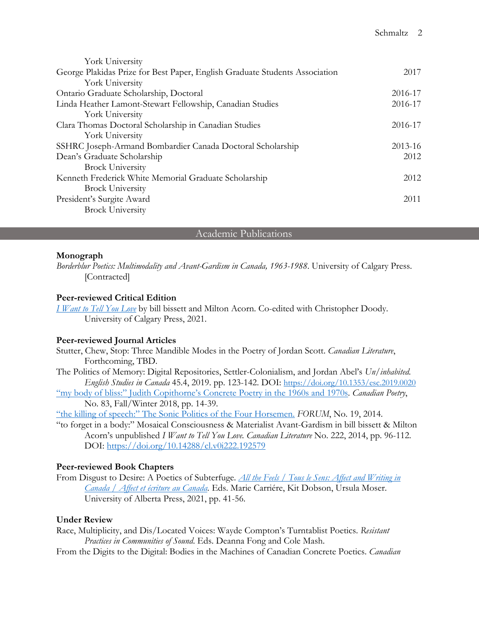| York University                                                             |         |
|-----------------------------------------------------------------------------|---------|
| George Plakidas Prize for Best Paper, English Graduate Students Association | 2017    |
| York University                                                             |         |
| Ontario Graduate Scholarship, Doctoral                                      | 2016-17 |
| Linda Heather Lamont-Stewart Fellowship, Canadian Studies                   | 2016-17 |
| York University                                                             |         |
| Clara Thomas Doctoral Scholarship in Canadian Studies                       | 2016-17 |
| York University                                                             |         |
| SSHRC Joseph-Armand Bombardier Canada Doctoral Scholarship                  | 2013-16 |
| Dean's Graduate Scholarship                                                 |         |
| <b>Brock University</b>                                                     |         |
| Kenneth Frederick White Memorial Graduate Scholarship                       | 2012    |
| <b>Brock University</b>                                                     |         |
| President's Surgite Award                                                   | 2011    |
| <b>Brock University</b>                                                     |         |
|                                                                             |         |

# Academic Publications

# **Monograph**

*Borderblur Poetics: Multimodality and Avant-Gardism in Canada, 1963-1988*. University of Calgary Press. [Contracted]

# **Peer-reviewed Critical Edition**

*I Want to Tell You Love* by bill bissett and Milton Acorn. Co-edited with Christopher Doody. University of Calgary Press, 2021.

# **Peer-reviewed Journal Articles**

Stutter, Chew, Stop: Three Mandible Modes in the Poetry of Jordan Scott. *Canadian Literature*, Forthcoming, TBD.

The Politics of Memory: Digital Repositories, Settler-Colonialism, and Jordan Abel's *Un/inhabited. English Studies in Canada* 45.4, 2019. pp. 123-142. DOI: https://doi.org/10.1353/esc.2019.0020

"my body of bliss:" Judith Copithorne's Concrete Poetry in the 1960s and 1970s. *Canadian Poetry*, No. 83, Fall/Winter 2018, pp. 14-39.

"the killing of speech:" The Sonic Politics of the Four Horsemen. *FORUM*, No. 19, 2014.

"to forget in a body:" Mosaical Consciousness & Materialist Avant-Gardism in bill bissett & Milton Acorn's unpublished *I Want to Tell You Love. Canadian Literature* No. 222, 2014, pp. 96-112. DOI: https://doi.org/10.14288/cl.v0i222.192579

# **Peer-reviewed Book Chapters**

From Disgust to Desire: A Poetics of Subterfuge. *All the Feels / Tous le Sens: Affect and Writing in Canada / Affect et écriture au Canada.* Eds. Marie Carriére, Kit Dobson, Ursula Moser. University of Alberta Press, 2021, pp. 41-56.

# **Under Review**

Race, Multiplicity, and Dis/Located Voices: Wayde Compton's Turntablist Poetics. *Resistant Practices in Communities of Sound*. Eds. Deanna Fong and Cole Mash.

From the Digits to the Digital: Bodies in the Machines of Canadian Concrete Poetics. *Canadian*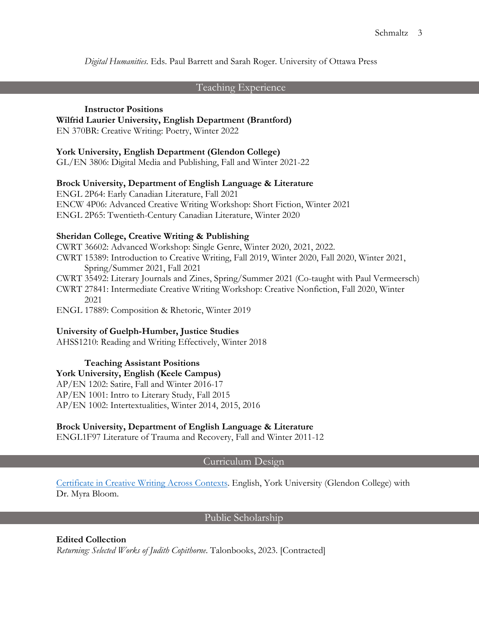*Digital Humanities*. Eds. Paul Barrett and Sarah Roger. University of Ottawa Press

# Teaching Experience

#### **Instructor Positions**

### **Wilfrid Laurier University, English Department (Brantford)**

EN 370BR: Creative Writing: Poetry, Winter 2022

### **York University, English Department (Glendon College)**

GL/EN 3806: Digital Media and Publishing, Fall and Winter 2021-22

# **Brock University, Department of English Language & Literature**

ENGL 2P64: Early Canadian Literature, Fall 2021 ENCW 4P06: Advanced Creative Writing Workshop: Short Fiction, Winter 2021 ENGL 2P65: Twentieth-Century Canadian Literature, Winter 2020

# **Sheridan College, Creative Writing & Publishing**

CWRT 36602: Advanced Workshop: Single Genre, Winter 2020, 2021, 2022. CWRT 15389: Introduction to Creative Writing, Fall 2019, Winter 2020, Fall 2020, Winter 2021, Spring/Summer 2021, Fall 2021

CWRT 35492: Literary Journals and Zines, Spring/Summer 2021 (Co-taught with Paul Vermeersch)

CWRT 27841: Intermediate Creative Writing Workshop: Creative Nonfiction, Fall 2020, Winter 2021

ENGL 17889: Composition & Rhetoric, Winter 2019

# **University of Guelph-Humber, Justice Studies**

AHSS1210: Reading and Writing Effectively, Winter 2018

# **Teaching Assistant Positions**

**York University, English (Keele Campus)** 

AP/EN 1202: Satire, Fall and Winter 2016-17 AP/EN 1001: Intro to Literary Study, Fall 2015 AP/EN 1002: Intertextualities, Winter 2014, 2015, 2016

# **Brock University, Department of English Language & Literature**

ENGL1F97 Literature of Trauma and Recovery, Fall and Winter 2011-12

### Curriculum Design

Certificate in Creative Writing Across Contexts. English, York University (Glendon College) with Dr. Myra Bloom.

# Public Scholarship

# **Edited Collection**

*Returning: Selected Works of Judith Copithorne*. Talonbooks, 2023. [Contracted]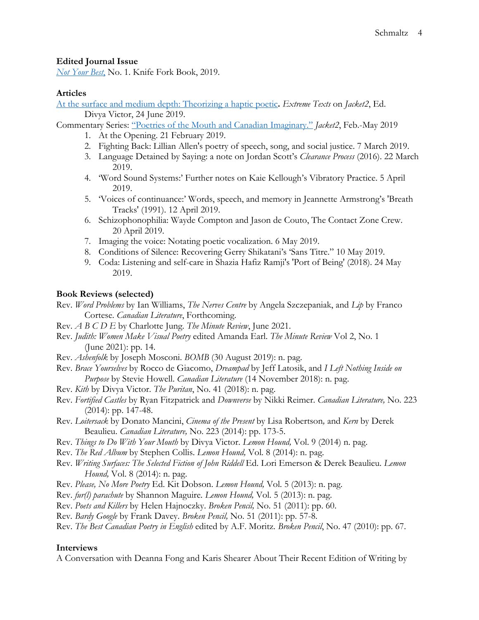# **Edited Journal Issue**

*Not Your Best*, No. 1. Knife Fork Book, 2019.

# **Articles**

At the surface and medium depth: Theorizing a haptic poetic**.** *Extreme Texts* on *Jacket2*, Ed. Divya Victor, 24 June 2019.

Commentary Series: "Poetries of the Mouth and Canadian Imaginary." *Jacket2*, Feb.-May 2019

- 1. At the Opening. 21 February 2019.
- 2. Fighting Back: Lillian Allen's poetry of speech, song, and social justice. 7 March 2019.
- 3. Language Detained by Saying: a note on Jordan Scott's *Clearance Process* (2016). 22 March 2019.
- 4. 'Word Sound Systems:' Further notes on Kaie Kellough's Vibratory Practice. 5 April 2019.
- 5. 'Voices of continuance:' Words, speech, and memory in Jeannette Armstrong's 'Breath Tracks' (1991). 12 April 2019.
- 6. Schizophonophilia: Wayde Compton and Jason de Couto, The Contact Zone Crew. 20 April 2019.
- 7. Imaging the voice: Notating poetic vocalization. 6 May 2019.
- 8. Conditions of Silence: Recovering Gerry Shikatani's 'Sans Titre." 10 May 2019.
- 9. Coda: Listening and self-care in Shazia Hafiz Ramji's 'Port of Being' (2018). 24 May 2019.

# **Book Reviews (selected)**

Rev. *Word Problems* by Ian Williams, *The Nerves Centre* by Angela Szczepaniak, and *Lip* by Franco Cortese. *Canadian Literature*, Forthcoming.

- Rev. *A B C D E* by Charlotte Jung. *The Minute Review*, June 2021.
- Rev. *Judith: Women Make Visual Poetry* edited Amanda Earl. *The Minute Review* Vol 2, No. 1 (June 2021): pp. 14.
- Rev. *Ashenfolk* by Joseph Mosconi. *BOMB* (30 August 2019): n. pag.
- Rev. *Brace Yourselves* by Rocco de Giacomo, *Dreampad* by Jeff Latosik, and *I Left Nothing Inside on Purpose* by Stevie Howell. *Canadian Literature* (14 November 2018): n. pag.
- Rev. *Kith* by Divya Victor. *The Puritan*, No. 41 (2018): n. pag.
- Rev. *Fortified Castles* by Ryan Fitzpatrick and *Downverse* by Nikki Reimer. *Canadian Literature,* No. 223 (2014): pp. 147-48.
- Rev. *Loitersack* by Donato Mancini, *Cinema of the Present* by Lisa Robertson*,* and *Kern* by Derek Beaulieu. *Canadian Literature,* No. 223 (2014): pp. 173-5.
- Rev. *Things to Do With Your Mouth* by Divya Victor. *Lemon Hound,* Vol. 9 (2014) n. pag.
- Rev. *The Red Album* by Stephen Collis. *Lemon Hound,* Vol. 8 (2014): n. pag.
- Rev. *Writing Surfaces: The Selected Fiction of John Riddell* Ed. Lori Emerson & Derek Beaulieu. *Lemon Hound,* Vol. 8 (2014): n. pag.
- Rev. *Please, No More Poetry* Ed. Kit Dobson. *Lemon Hound,* Vol. 5 (2013): n. pag.
- Rev. *fur(l) parachute* by Shannon Maguire*. Lemon Hound,* Vol. 5 (2013): n. pag.
- Rev. *Poets and Killers* by Helen Hajnoczky. *Broken Pencil,* No. 51 (2011): pp. 60.
- Rev*. Bardy Google* by Frank Davey. *Broken Pencil,* No. 51 (2011): pp. 57-8.
- Rev. *The Best Canadian Poetry in English* edited by A.F. Moritz*. Broken Pencil*, No. 47 (2010): pp. 67.

# **Interviews**

A Conversation with Deanna Fong and Karis Shearer About Their Recent Edition of Writing by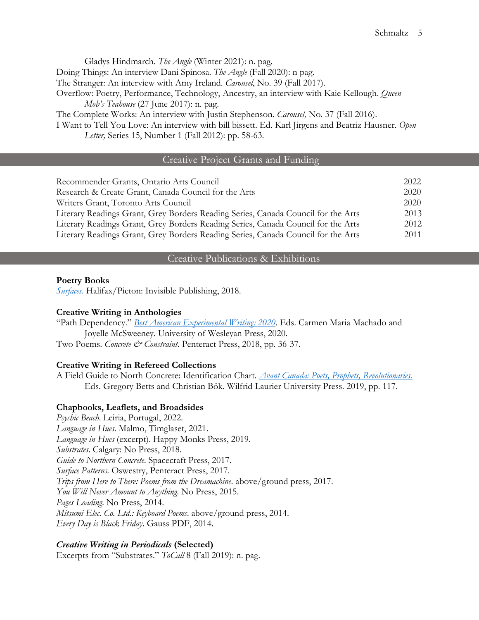Gladys Hindmarch. *The Angle* (Winter 2021): n. pag. Doing Things: An interview Dani Spinosa. *The Angle* (Fall 2020): n pag. The Stranger: An interview with Amy Ireland. *Carousel*, No. 39 (Fall 2017). Overflow: Poetry, Performance, Technology, Ancestry, an interview with Kaie Kellough. *Queen Mob's Teahouse* (27 June 2017): n. pag. The Complete Works: An interview with Justin Stephenson. *Carousel,* No. 37 (Fall 2016). I Want to Tell You Love: An interview with bill bissett. Ed. Karl Jirgens and Beatriz Hausner. *Open Letter,* Series 15, Number 1 (Fall 2012): pp. 58-63.

# Creative Project Grants and Funding

| Recommender Grants, Ontario Arts Council                                          | 2022 |
|-----------------------------------------------------------------------------------|------|
| Research & Create Grant, Canada Council for the Arts                              | 2020 |
| Writers Grant, Toronto Arts Council                                               | 2020 |
| Literary Readings Grant, Grey Borders Reading Series, Canada Council for the Arts | 2013 |
| Literary Readings Grant, Grey Borders Reading Series, Canada Council for the Arts | 2012 |
| Literary Readings Grant, Grey Borders Reading Series, Canada Council for the Arts | 2011 |

# Creative Publications & Exhibitions

#### **Poetry Books**

*Surfaces*. Halifax/Picton: Invisible Publishing, 2018.

### **Creative Writing in Anthologies**

"Path Dependency." *Best American Experimental Writing: 2020*. Eds. Carmen Maria Machado and Joyelle McSweeney. University of Wesleyan Press, 2020.

Two Poems. *Concrete & Constraint*. Penteract Press, 2018, pp. 36-37.

### **Creative Writing in Refereed Collections**

A Field Guide to North Concrete: Identification Chart. *Avant Canada: Poets, Prophets, Revolutionaries*. Eds. Gregory Betts and Christian Bök. Wilfrid Laurier University Press. 2019, pp. 117.

### **Chapbooks, Leaflets, and Broadsides**

*Psychic Beach*. Leiria, Portugal, 2022. *Language in Hues*. Malmo, Timglaset, 2021. *Language in Hues* (excerpt). Happy Monks Press, 2019. *Substrates*. Calgary: No Press, 2018. *Guide to Northern Concrete*. Spacecraft Press, 2017. *Surface Patterns*. Oswestry, Penteract Press, 2017. *Trips from Here to There: Poems from the Dreamachine*. above/ground press, 2017. *You Will Never Amount to Anything*. No Press, 2015. *Pages Loading*. No Press, 2014. *Mitsumi Elec. Co. Ltd.: Keyboard Poems*. above/ground press, 2014. *Every Day is Black Friday*. Gauss PDF, 2014.

### *Creative Writing in Periodicals* **(Selected)**

Excerpts from "Substrates." *ToCall* 8 (Fall 2019): n. pag.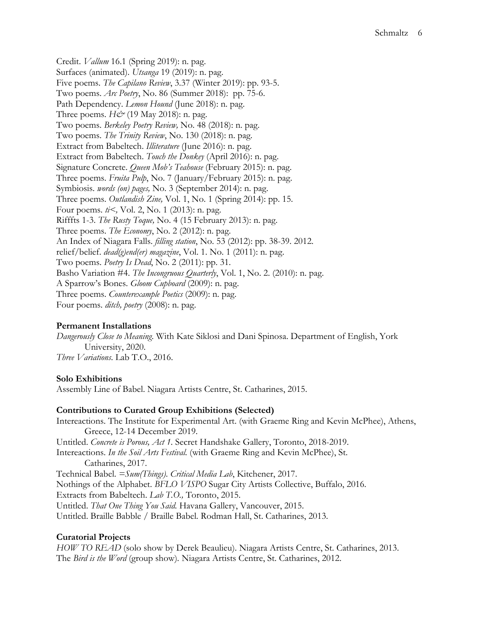Credit. *Vallum* 16.1 (Spring 2019): n. pag. Surfaces (animated). *Utsanga* 19 (2019): n. pag. Five poems. *The Capilano Review*, 3.37 (Winter 2019): pp. 93-5. Two poems. *Arc Poetry*, No. 86 (Summer 2018): pp. 75-6. Path Dependency. *Lemon Hound* (June 2018): n. pag. Three poems. *H&* (19 May 2018): n. pag. Two poems. *Berkeley Poetry Review,* No. 48 (2018): n. pag. Two poems. *The Trinity Review*, No. 130 (2018): n. pag. Extract from Babeltech. *Illiterature* (June 2016): n. pag. Extract from Babeltech. *Touch the Donkey* (April 2016): n. pag. Signature Concrete. *Queen Mob's Teahouse* (February 2015): n. pag. Three poems. *Fruita Pulp*, No. 7 (January/February 2015): n. pag. Symbiosis. *words (on) pages,* No. 3 (September 2014): n. pag. Three poems. *Outlandish Zine,* Vol. 1, No. 1 (Spring 2014): pp. 15. Four poems. *ti<,* Vol. 2, No. 1 (2013): n. pag. Rifffts 1-3. *The Rusty Toque,* No. 4 (15 February 2013): n. pag. Three poems. *The Economy*, No. 2 (2012): n. pag. An Index of Niagara Falls. *filling station*, No. 53 (2012): pp. 38-39. 2012. relief/belief. *dead(g)end(er) magazine*, Vol. 1. No. 1 (2011): n. pag. Two poems. *Poetry Is Dead*, No. 2 (2011): pp. 31. Basho Variation #4. *The Incongruous Quarterly*, Vol. 1, No. 2. (2010): n. pag. A Sparrow's Bones. *Gloom Cupboard* (2009): n. pag. Three poems. *Counterexample Poetics* (2009): n. pag. Four poems. *ditch, poetry* (2008): n. pag.

# **Permanent Installations**

*Dangerously Close to Meaning*. With Kate Siklosi and Dani Spinosa. Department of English, York University, 2020. *Three Variations*. Lab T.O., 2016.

### **Solo Exhibitions**

Assembly Line of Babel. Niagara Artists Centre, St. Catharines, 2015.

### **Contributions to Curated Group Exhibitions (Selected)**

Intereactions. The Institute for Experimental Art. (with Graeme Ring and Kevin McPhee), Athens, Greece, 12-14 December 2019. Untitled. *Concrete is Porous, Act 1.* Secret Handshake Gallery, Toronto, 2018-2019. Intereactions. *In the Soil Arts Festival.* (with Graeme Ring and Kevin McPhee), St. Catharines, 2017. Technical Babel. *=Sum(Things)*. *Critical Media Lab*, Kitchener, 2017. Nothings of the Alphabet. *BFLO VISPO* Sugar City Artists Collective, Buffalo, 2016. Extracts from Babeltech. *Lab T.O.,* Toronto, 2015. Untitled. *That One Thing You Said.* Havana Gallery, Vancouver, 2015. Untitled. Braille Babble / Braille Babel*.* Rodman Hall, St. Catharines, 2013.

# **Curatorial Projects**

*HOW TO READ* (solo show by Derek Beaulieu). Niagara Artists Centre, St. Catharines, 2013. The *Bird is the Word* (group show)*.* Niagara Artists Centre, St. Catharines, 2012.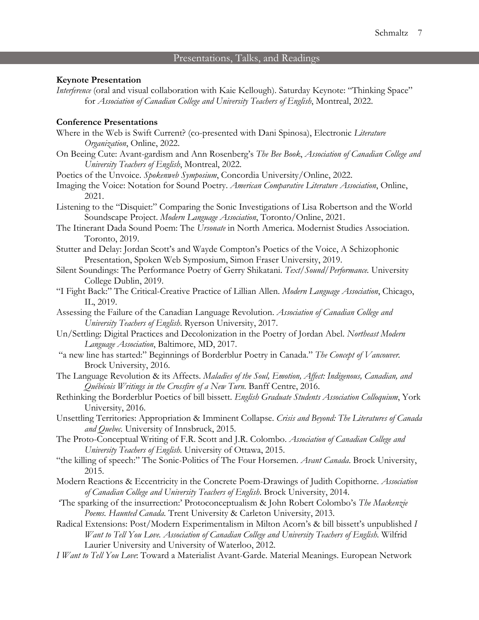# Presentations, Talks, and Readings

### **Keynote Presentation**

*Interference* (oral and visual collaboration with Kaie Kellough). Saturday Keynote: "Thinking Space" for *Association of Canadian College and University Teachers of English*, Montreal, 2022.

#### **Conference Presentations**

- Where in the Web is Swift Current? (co-presented with Dani Spinosa), Electronic *Literature Organization*, Online, 2022.
- On Beeing Cute: Avant-gardism and Ann Rosenberg's *The Bee Book*, *Association of Canadian College and University Teachers of English*, Montreal, 2022.
- Poetics of the Unvoice. *Spokenweb Symposium*, Concordia University/Online, 2022.
- Imaging the Voice: Notation for Sound Poetry. *American Comparative Literature Association*, Online, 2021.
- Listening to the "Disquiet:" Comparing the Sonic Investigations of Lisa Robertson and the World Soundscape Project. *Modern Language Association*, Toronto/Online, 2021.
- The Itinerant Dada Sound Poem: The *Ursonate* in North America. Modernist Studies Association. Toronto, 2019.
- Stutter and Delay: Jordan Scott's and Wayde Compton's Poetics of the Voice, A Schizophonic Presentation, Spoken Web Symposium, Simon Fraser University, 2019.
- Silent Soundings: The Performance Poetry of Gerry Shikatani. *Text/Sound/Performance.* University College Dublin, 2019.
- "I Fight Back:" The Critical-Creative Practice of Lillian Allen. *Modern Language Association*, Chicago, IL, 2019.
- Assessing the Failure of the Canadian Language Revolution. *Association of Canadian College and University Teachers of English*. Ryerson University, 2017.
- Un/Settling: Digital Practices and Decolonization in the Poetry of Jordan Abel. *Northeast Modern Language Association*, Baltimore, MD, 2017.
- "a new line has started:" Beginnings of Borderblur Poetry in Canada." *The Concept of Vancouver.*  Brock University, 2016.
- The Language Revolution & its Affects. *Maladies of the Soul, Emotion, Affect: Indigenous, Canadian, and Québécois Writings in the Crossfire of a New Turn.* Banff Centre, 2016.
- Rethinking the Borderblur Poetics of bill bissett. *English Graduate Students Association Colloquium*, York University, 2016.
- Unsettling Territories: Appropriation & Imminent Collapse. *Crisis and Beyond: The Literatures of Canada and Quebec.* University of Innsbruck, 2015.
- The Proto-Conceptual Writing of F.R. Scott and J.R. Colombo. *Association of Canadian College and University Teachers of English.* University of Ottawa, 2015.
- "the killing of speech:" The Sonic-Politics of The Four Horsemen. *Avant Canada*. Brock University, 2015.
- Modern Reactions & Eccentricity in the Concrete Poem-Drawings of Judith Copithorne. *Association of Canadian College and University Teachers of English*. Brock University, 2014.
- 'The sparking of the insurrection:' Protoconceptualism & John Robert Colombo's *The Mackenzie Poems. Haunted Canada.* Trent University & Carleton University, 2013.
- Radical Extensions: Post/Modern Experimentalism in Milton Acorn's & bill bissett's unpublished *I Want to Tell You Love. Association of Canadian College and University Teachers of English.* Wilfrid Laurier University and University of Waterloo, 2012.
- *I Want to Tell You Love*: Toward a Materialist Avant-Garde. Material Meanings. European Network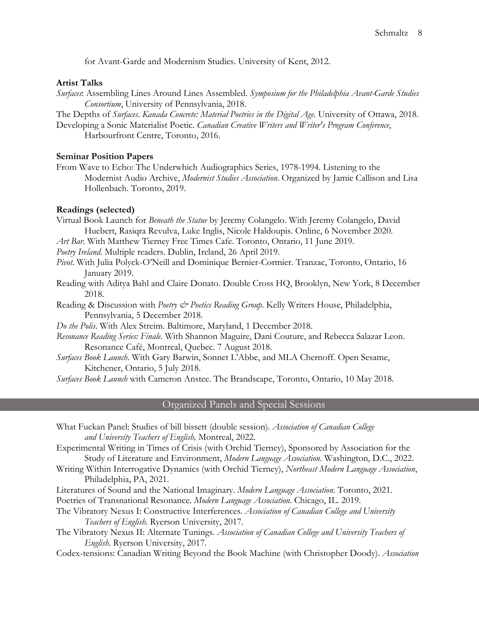for Avant-Garde and Modernism Studies. University of Kent, 2012.

#### **Artist Talks**

- *Surfaces*: Assembling Lines Around Lines Assembled. *Symposium for the Philadelphia Avant-Garde Studies Consortium*, University of Pennsylvania, 2018.
- The Depths of *Surfaces*. *Kanada Concrete: Material Poetries in the Digital Age.* University of Ottawa, 2018.
- Developing a Sonic Materialist Poetic. *Canadian Creative Writers and Writer's Program Conference*, Harbourfront Centre, Toronto, 2016.

### **Seminar Position Papers**

From Wave to Echo: The Underwhich Audiographics Series, 1978-1994. Listening to the Modernist Audio Archive, *Modernist Studies Association*. Organized by Jamie Callison and Lisa Hollenbach. Toronto, 2019.

### **Readings (selected)**

Virtual Book Launch for *Beneath the Statue* by Jeremy Colangelo. With Jeremy Colangelo, David Huebert, Rasiqra Revulva, Luke Inglis, Nicole Haldoupis. Online, 6 November 2020.

*Art Bar*. With Matthew Tierney Free Times Cafe. Toronto, Ontario, 11 June 2019.

*Poetry Ireland*. Multiple readers. Dublin, Ireland, 26 April 2019.

- *Pivot*. With Julia Polyck-O'Neill and Dominique Bernier-Cormier. Tranzac, Toronto, Ontario, 16 January 2019.
- Reading with Aditya Bahl and Claire Donato. Double Cross HQ, Brooklyn, New York, 8 December 2018.
- Reading & Discussion with *Poetry & Poetics Reading Group*. Kelly Writers House, Philadelphia, Pennsylvania, 5 December 2018.
- *Do the Polis*. With Alex Streim. Baltimore, Maryland, 1 December 2018.
- *Resonance Reading Series: Finale*. With Shannon Maguire, Dani Couture, and Rebecca Salazar Leon. Resonance Café, Montreal, Quebec. 7 August 2018.
- *Surfaces Book Launch*. With Gary Barwin, Sonnet L'Abbe, and MLA Chernoff. Open Sesame, Kitchener, Ontario, 5 July 2018.

*Surfaces Book Launch* with Cameron Anstee. The Brandscape, Toronto, Ontario, 10 May 2018.

# Organized Panels and Special Sessions

What Fuckan Panel: Studies of bill bissett (double session). *Association of Canadian College and University Teachers of English,* Montreal, 2022.

Experimental Writing in Times of Crisis (with Orchid Tierney), Sponsored by Association for the Study of Literature and Environment, *Modern Language Association*. Washington, D.C., 2022.

- Writing Within Interrogative Dynamics (with Orchid Tierney), *Northeast Modern Language Association*, Philadelphia, PA, 2021.
- Literatures of Sound and the National Imaginary. *Modern Language Association*. Toronto, 2021. Poetries of Transnational Resonance. *Modern Language Association*. Chicago, IL. 2019.
- The Vibratory Nexus I: Constructive Interferences. *Association of Canadian College and University Teachers of English.* Ryerson University, 2017.
- The Vibratory Nexus II: Alternate Tunings. *Association of Canadian College and University Teachers of English*. Ryerson University, 2017.
- Codex-tensions: Canadian Writing Beyond the Book Machine (with Christopher Doody). *Association*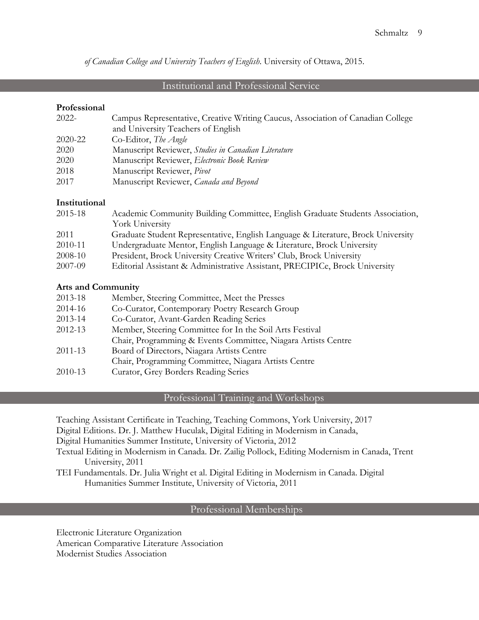*of Canadian College and University Teachers of English*. University of Ottawa, 2015.

# Institutional and Professional Service

### **Professional**

| $2022 -$ | Campus Representative, Creative Writing Caucus, Association of Canadian College |
|----------|---------------------------------------------------------------------------------|
|          | and University Teachers of English                                              |
| 2020-22  | Co-Editor, The Angle                                                            |
| 2020     | Manuscript Reviewer, Studies in Canadian Literature                             |
| 2020     | Manuscript Reviewer, Electronic Book Review                                     |
| 2018     | Manuscript Reviewer, Pivot                                                      |
| 2017     | Manuscript Reviewer, Canada and Beyond                                          |

# **Institutional**

| 2015-18 | Academic Community Building Committee, English Graduate Students Association,    |
|---------|----------------------------------------------------------------------------------|
|         | York University                                                                  |
| 2011    | Graduate Student Representative, English Language & Literature, Brock University |
| 2010-11 | Undergraduate Mentor, English Language & Literature, Brock University            |
| 2008-10 | President, Brock University Creative Writers' Club, Brock University             |
| 2007-09 | Editorial Assistant & Administrative Assistant, PRECIPICe, Brock University      |

### **Arts and Community**

| 2013-18 | Member, Steering Committee, Meet the Presses                  |
|---------|---------------------------------------------------------------|
| 2014-16 | Co-Curator, Contemporary Poetry Research Group                |
| 2013-14 | Co-Curator, Avant-Garden Reading Series                       |
| 2012-13 | Member, Steering Committee for In the Soil Arts Festival      |
|         | Chair, Programming & Events Committee, Niagara Artists Centre |
| 2011-13 | Board of Directors, Niagara Artists Centre                    |
|         | Chair, Programming Committee, Niagara Artists Centre          |
| 2010-13 | Curator, Grey Borders Reading Series                          |

# Professional Training and Workshops

Teaching Assistant Certificate in Teaching, Teaching Commons, York University, 2017

Digital Editions. Dr. J. Matthew Huculak, Digital Editing in Modernism in Canada,

Digital Humanities Summer Institute, University of Victoria, 2012

Textual Editing in Modernism in Canada. Dr. Zailig Pollock, Editing Modernism in Canada, Trent University, 2011

TEI Fundamentals. Dr. Julia Wright et al. Digital Editing in Modernism in Canada. Digital Humanities Summer Institute, University of Victoria, 2011

# Professional Memberships

Electronic Literature Organization American Comparative Literature Association Modernist Studies Association